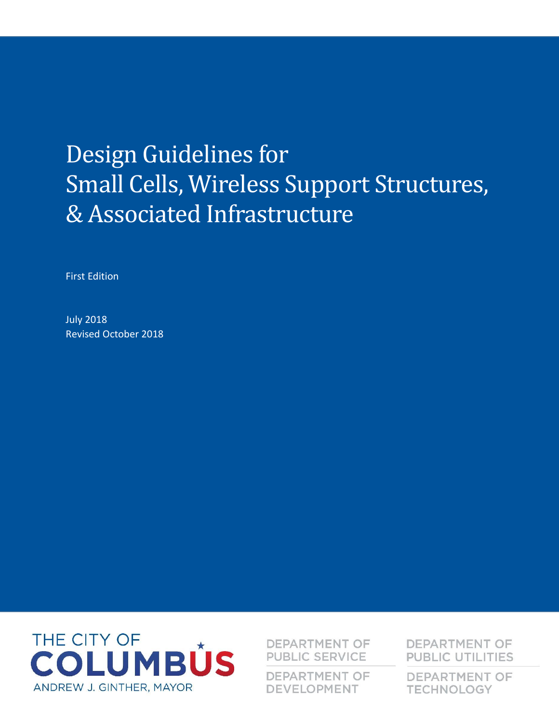# Design Guidelines for Small Cells, Wireless Support Structures, & Associated Infrastructure

First Edition

July 2018 Revised October 2018



**DEPARTMENT OF PUBLIC SERVICE** 

**DEPARTMENT OF DEVELOPMENT** 

**DEPARTMENT OF PUBLIC UTILITIES** 

**DEPARTMENT OF TECHNOLOGY**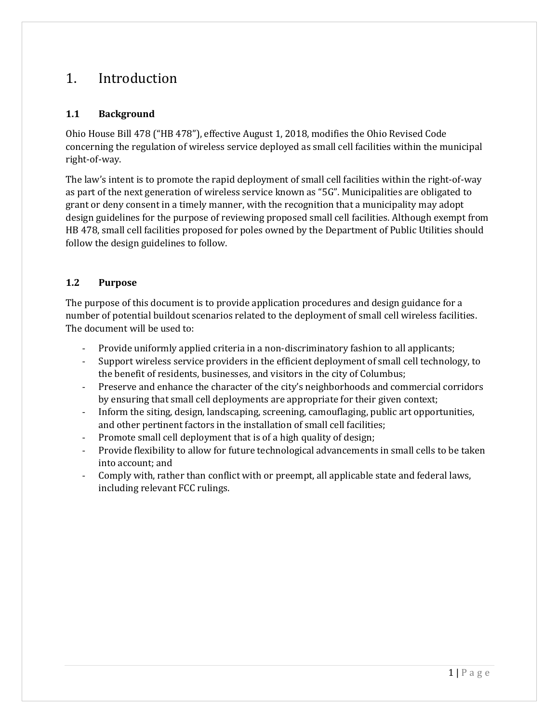# 1. Introduction

#### **1.1 Background**

Ohio House Bill 478 ("HB 478"), effective August 1, 2018, modifies the Ohio Revised Code concerning the regulation of wireless service deployed as small cell facilities within the municipal right-of-way.

The law's intent is to promote the rapid deployment of small cell facilities within the right-of-way as part of the next generation of wireless service known as "5G". Municipalities are obligated to grant or deny consent in a timely manner, with the recognition that a municipality may adopt design guidelines for the purpose of reviewing proposed small cell facilities. Although exempt from HB 478, small cell facilities proposed for poles owned by the Department of Public Utilities should follow the design guidelines to follow.

#### **1.2 Purpose**

The purpose of this document is to provide application procedures and design guidance for a number of potential buildout scenarios related to the deployment of small cell wireless facilities. The document will be used to:

- Provide uniformly applied criteria in a non-discriminatory fashion to all applicants;
- Support wireless service providers in the efficient deployment of small cell technology, to the benefit of residents, businesses, and visitors in the city of Columbus;
- Preserve and enhance the character of the city's neighborhoods and commercial corridors by ensuring that small cell deployments are appropriate for their given context;
- Inform the siting, design, landscaping, screening, camouflaging, public art opportunities, and other pertinent factors in the installation of small cell facilities;
- Promote small cell deployment that is of a high quality of design;
- Provide flexibility to allow for future technological advancements in small cells to be taken into account; and
- Comply with, rather than conflict with or preempt, all applicable state and federal laws, including relevant FCC rulings.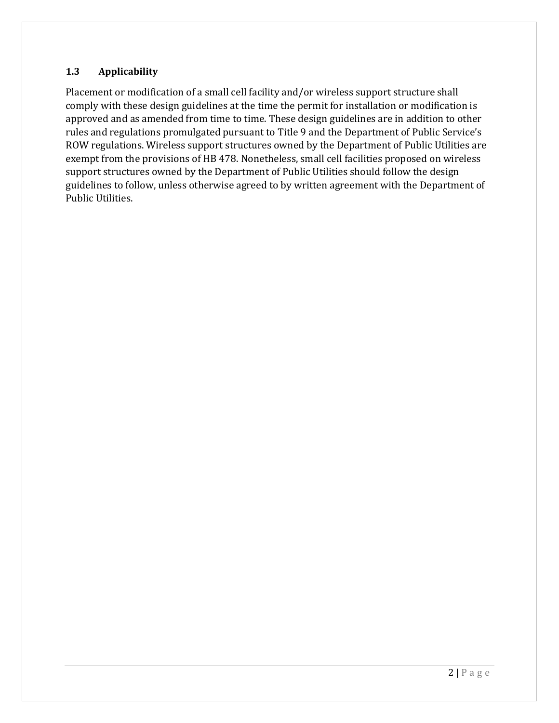#### **1.3 Applicability**

Placement or modification of a small cell facility and/or wireless support structure shall comply with these design guidelines at the time the permit for installation or modification is approved and as amended from time to time. These design guidelines are in addition to other rules and regulations promulgated pursuant to Title 9 and the Department of Public Service's ROW regulations. Wireless support structures owned by the Department of Public Utilities are exempt from the provisions of HB 478. Nonetheless, small cell facilities proposed on wireless support structures owned by the Department of Public Utilities should follow the design guidelines to follow, unless otherwise agreed to by written agreement with the Department of Public Utilities.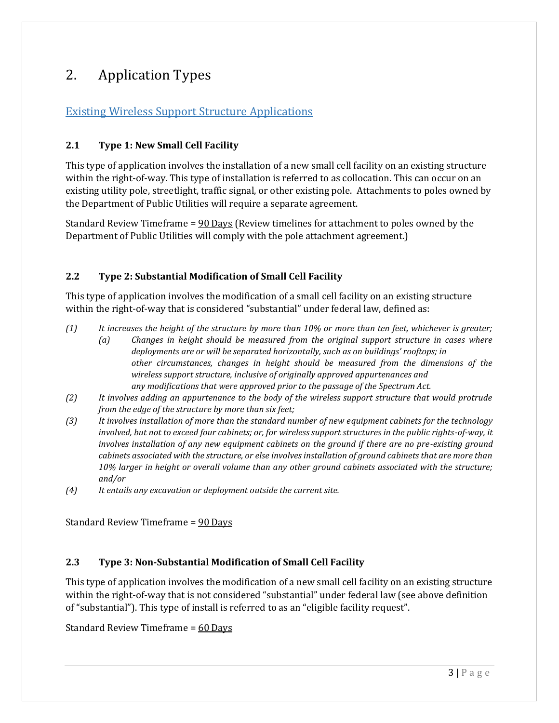# 2. Application Types

## Existing Wireless Support Structure Applications

#### **2.1 Type 1: New Small Cell Facility**

This type of application involves the installation of a new small cell facility on an existing structure within the right-of-way. This type of installation is referred to as collocation. This can occur on an existing utility pole, streetlight, traffic signal, or other existing pole. Attachments to poles owned by the Department of Public Utilities will require a separate agreement.

Standard Review Timeframe = 90 Days (Review timelines for attachment to poles owned by the Department of Public Utilities will comply with the pole attachment agreement.)

### **2.2 Type 2: Substantial Modification of Small Cell Facility**

This type of application involves the modification of a small cell facility on an existing structure within the right-of-way that is considered "substantial" under federal law, defined as:

- *(1) It increases the height of the structure by more than 10% or more than ten feet, whichever is greater;*
	- *(a) Changes in height should be measured from the original support structure in cases where deployments are or will be separated horizontally, such as on buildings' rooftops; in other circumstances, changes in height should be measured from the dimensions of the wireless support structure, inclusive of originally approved appurtenances and any modifications that were approved prior to the passage of the Spectrum Act.*
- *(2) It involves adding an appurtenance to the body of the wireless support structure that would protrude from the edge of the structure by more than six feet;*
- *(3) It involves installation of more than the standard number of new equipment cabinets for the technology involved, but not to exceed four cabinets; or, for wireless support structures in the public rights-of-way, it involves installation of any new equipment cabinets on the ground if there are no pre-existing ground cabinets associated with the structure, or else involves installation of ground cabinets that are more than 10% larger in height or overall volume than any other ground cabinets associated with the structure; and/or*
- *(4) It entails any excavation or deployment outside the current site.*

Standard Review Timeframe = 90 Days

#### **2.3 Type 3: Non-Substantial Modification of Small Cell Facility**

This type of application involves the modification of a new small cell facility on an existing structure within the right-of-way that is not considered "substantial" under federal law (see above definition of "substantial"). This type of install is referred to as an "eligible facility request".

Standard Review Timeframe = 60 Days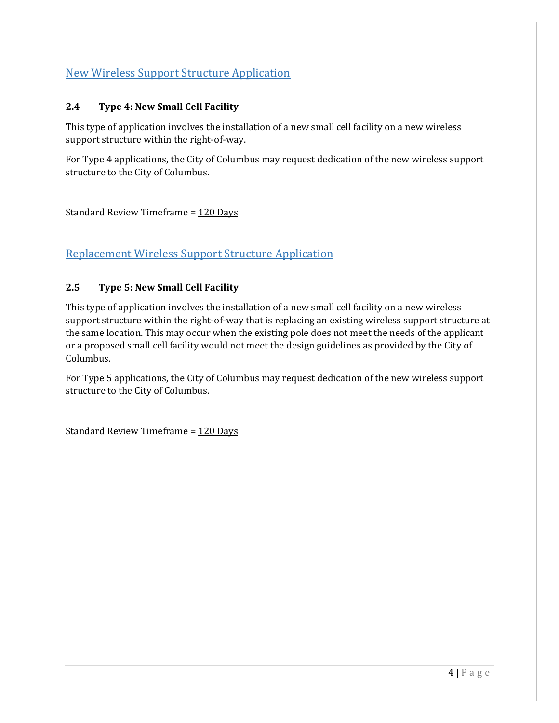## New Wireless Support Structure Application

#### **2.4 Type 4: New Small Cell Facility**

This type of application involves the installation of a new small cell facility on a new wireless support structure within the right-of-way.

For Type 4 applications, the City of Columbus may request dedication of the new wireless support structure to the City of Columbus.

Standard Review Timeframe = 120 Days

## Replacement Wireless Support Structure Application

#### **2.5 Type 5: New Small Cell Facility**

This type of application involves the installation of a new small cell facility on a new wireless support structure within the right-of-way that is replacing an existing wireless support structure at the same location. This may occur when the existing pole does not meet the needs of the applicant or a proposed small cell facility would not meet the design guidelines as provided by the City of Columbus.

For Type 5 applications, the City of Columbus may request dedication of the new wireless support structure to the City of Columbus.

Standard Review Timeframe = 120 Days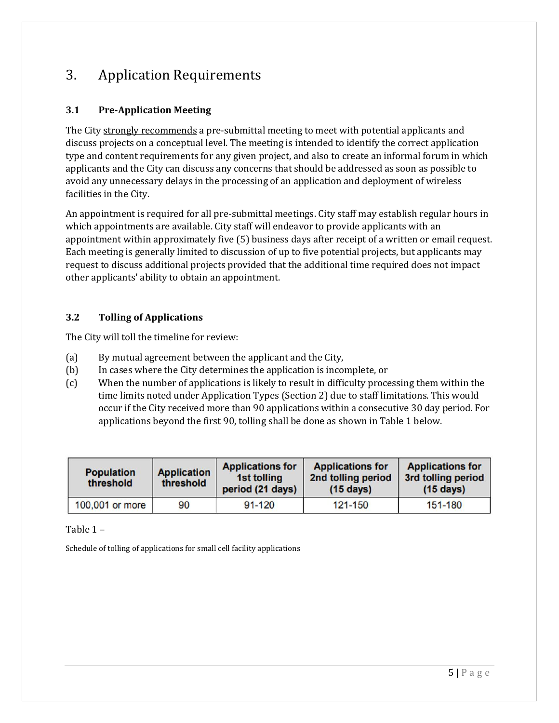# 3. Application Requirements

## **3.1 Pre-Application Meeting**

The City strongly recommends a pre-submittal meeting to meet with potential applicants and discuss projects on a conceptual level. The meeting is intended to identify the correct application type and content requirements for any given project, and also to create an informal forum in which applicants and the City can discuss any concerns that should be addressed as soon as possible to avoid any unnecessary delays in the processing of an application and deployment of wireless facilities in the City.

An appointment is required for all pre-submittal meetings. City staff may establish regular hours in which appointments are available. City staff will endeavor to provide applicants with an appointment within approximately five (5) business days after receipt of a written or email request. Each meeting is generally limited to discussion of up to five potential projects, but applicants may request to discuss additional projects provided that the additional time required does not impact other applicants' ability to obtain an appointment.

#### **3.2 Tolling of Applications**

The City will toll the timeline for review:

- (a) By mutual agreement between the applicant and the City,
- (b) In cases where the City determines the application is incomplete, or
- (c) When the number of applications is likely to result in difficulty processing them within the time limits noted under Application Types (Section 2) due to staff limitations. This would occur if the City received more than 90 applications within a consecutive 30 day period. For applications beyond the first 90, tolling shall be done as shown in Table 1 below.

| <b>Population</b><br>threshold | <b>Application</b><br>threshold | <b>Applications for</b><br>1st tolling<br>period (21 days) | <b>Applications for</b><br>2nd tolling period<br>$(15 \text{ days})$ | <b>Applications for</b><br>3rd tolling period<br>$(15 \text{ days})$ |
|--------------------------------|---------------------------------|------------------------------------------------------------|----------------------------------------------------------------------|----------------------------------------------------------------------|
| 100,001 or more                | 90                              | $91 - 120$                                                 | 121-150                                                              | 151-180                                                              |

Table 1 –

Schedule of tolling of applications for small cell facility applications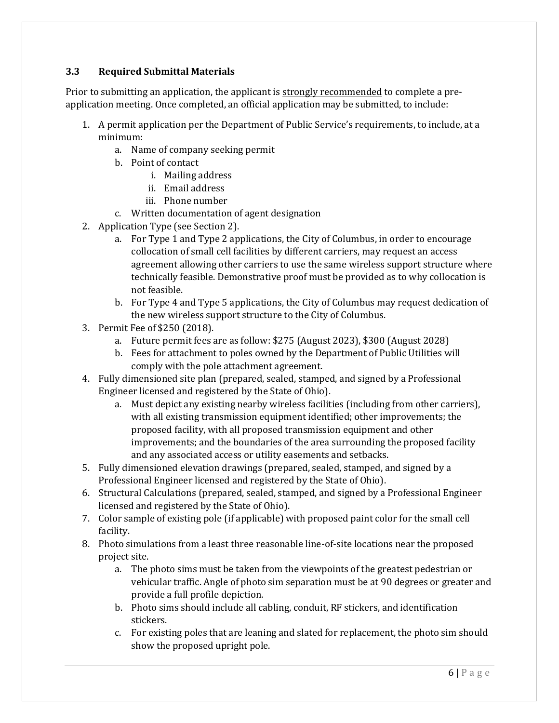#### **3.3 Required Submittal Materials**

Prior to submitting an application, the applicant is strongly recommended to complete a preapplication meeting. Once completed, an official application may be submitted, to include:

- 1. A permit application per the Department of Public Service's requirements, to include, at a minimum:
	- a. Name of company seeking permit
	- b. Point of contact
		- i. Mailing address
		- ii. Email address
		- iii. Phone number
	- c. Written documentation of agent designation
- 2. Application Type (see Section 2).
	- a. For Type 1 and Type 2 applications, the City of Columbus, in order to encourage collocation of small cell facilities by different carriers, may request an access agreement allowing other carriers to use the same wireless support structure where technically feasible. Demonstrative proof must be provided as to why collocation is not feasible.
	- b. For Type 4 and Type 5 applications, the City of Columbus may request dedication of the new wireless support structure to the City of Columbus.
- 3. Permit Fee of \$250 (2018).
	- a. Future permit fees are as follow: \$275 (August 2023), \$300 (August 2028)
	- b. Fees for attachment to poles owned by the Department of Public Utilities will comply with the pole attachment agreement.
- 4. Fully dimensioned site plan (prepared, sealed, stamped, and signed by a Professional Engineer licensed and registered by the State of Ohio).
	- a. Must depict any existing nearby wireless facilities (including from other carriers), with all existing transmission equipment identified; other improvements; the proposed facility, with all proposed transmission equipment and other improvements; and the boundaries of the area surrounding the proposed facility and any associated access or utility easements and setbacks.
- 5. Fully dimensioned elevation drawings (prepared, sealed, stamped, and signed by a Professional Engineer licensed and registered by the State of Ohio).
- 6. Structural Calculations (prepared, sealed, stamped, and signed by a Professional Engineer licensed and registered by the State of Ohio).
- 7. Color sample of existing pole (if applicable) with proposed paint color for the small cell facility.
- 8. Photo simulations from a least three reasonable line-of-site locations near the proposed project site.
	- a. The photo sims must be taken from the viewpoints of the greatest pedestrian or vehicular traffic. Angle of photo sim separation must be at 90 degrees or greater and provide a full profile depiction.
	- b. Photo sims should include all cabling, conduit, RF stickers, and identification stickers.
	- c. For existing poles that are leaning and slated for replacement, the photo sim should show the proposed upright pole.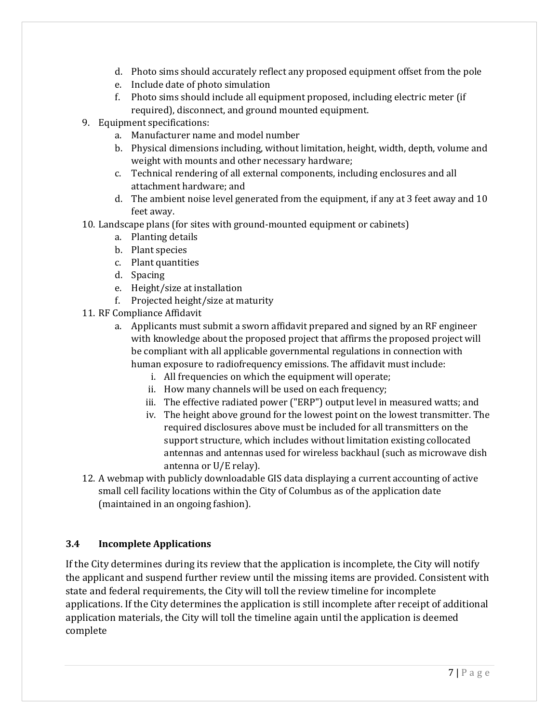- d. Photo sims should accurately reflect any proposed equipment offset from the pole
- e. Include date of photo simulation
- f. Photo sims should include all equipment proposed, including electric meter (if required), disconnect, and ground mounted equipment.
- 9. Equipment specifications:
	- a. Manufacturer name and model number
	- b. Physical dimensions including, without limitation, height, width, depth, volume and weight with mounts and other necessary hardware;
	- c. Technical rendering of all external components, including enclosures and all attachment hardware; and
	- d. The ambient noise level generated from the equipment, if any at 3 feet away and 10 feet away.
- 10. Landscape plans (for sites with ground-mounted equipment or cabinets)
	- a. Planting details
	- b. Plant species
	- c. Plant quantities
	- d. Spacing
	- e. Height/size at installation
	- f. Projected height/size at maturity
- 11. RF Compliance Affidavit
	- a. Applicants must submit a sworn affidavit prepared and signed by an RF engineer with knowledge about the proposed project that affirms the proposed project will be compliant with all applicable governmental regulations in connection with human exposure to radiofrequency emissions. The affidavit must include:
		- i. All frequencies on which the equipment will operate;
		- ii. How many channels will be used on each frequency;
		- iii. The effective radiated power ("ERP") output level in measured watts; and
		- iv. The height above ground for the lowest point on the lowest transmitter. The required disclosures above must be included for all transmitters on the support structure, which includes without limitation existing collocated antennas and antennas used for wireless backhaul (such as microwave dish antenna or U/E relay).
- 12. A webmap with publicly downloadable GIS data displaying a current accounting of active small cell facility locations within the City of Columbus as of the application date (maintained in an ongoing fashion).

#### **3.4 Incomplete Applications**

If the City determines during its review that the application is incomplete, the City will notify the applicant and suspend further review until the missing items are provided. Consistent with state and federal requirements, the City will toll the review timeline for incomplete applications. If the City determines the application is still incomplete after receipt of additional application materials, the City will toll the timeline again until the application is deemed complete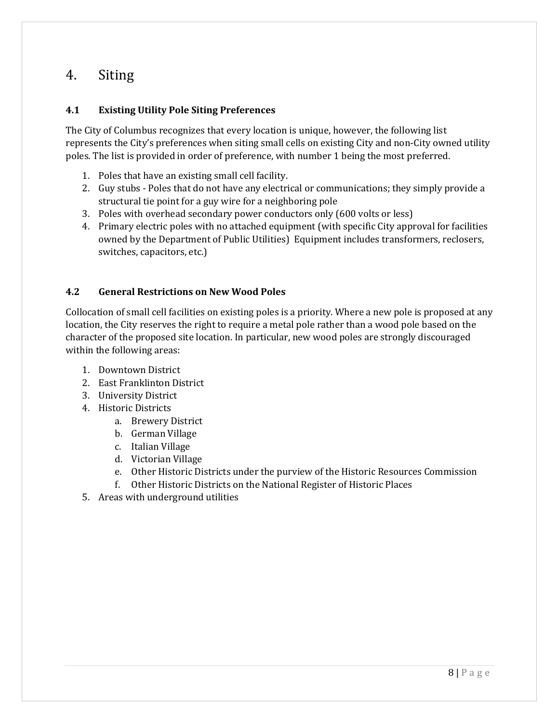## 4. Siting

#### **4.1 Existing Utility Pole Siting Preferences**

The City of Columbus recognizes that every location is unique, however, the following list represents the City's preferences when siting small cells on existing City and non-City owned utility poles. The list is provided in order of preference, with number 1 being the most preferred.

- 1. Poles that have an existing small cell facility.
- 2. Guy stubs Poles that do not have any electrical or communications; they simply provide a structural tie point for a guy wire for a neighboring pole
- 3. Poles with overhead secondary power conductors only (600 volts or less)
- 4. Primary electric poles with no attached equipment (with specific City approval for facilities owned by the Department of Public Utilities) Equipment includes transformers, reclosers, switches, capacitors, etc.)

#### **4.2 General Restrictions on New Wood Poles**

Collocation of small cell facilities on existing poles is a priority. Where a new pole is proposed at any location, the City reserves the right to require a metal pole rather than a wood pole based on the character of the proposed site location. In particular, new wood poles are strongly discouraged within the following areas:

- 1. Downtown District
- 2. East Franklinton District
- 3. University District
- 4. Historic Districts
	- a. Brewery District
	- b. German Village
	- c. Italian Village
	- d. Victorian Village
	- e. Other Historic Districts under the purview of the Historic Resources Commission
	- f. Other Historic Districts on the National Register of Historic Places
- 5. Areas with underground utilities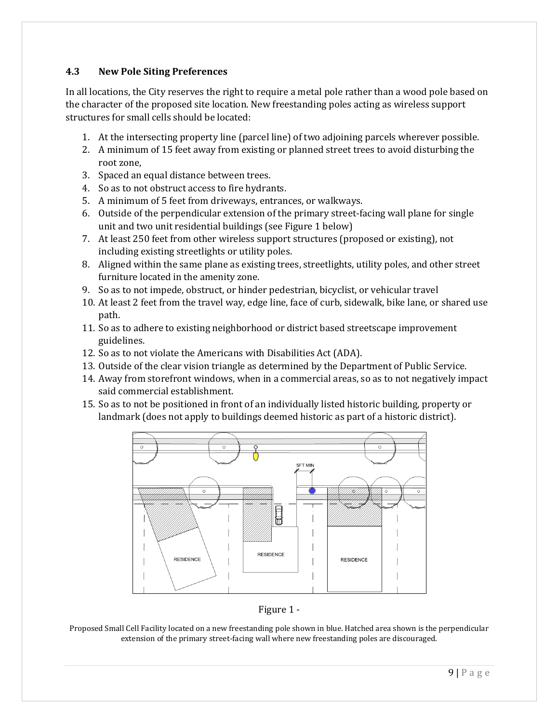#### **4.3 New Pole Siting Preferences**

In all locations, the City reserves the right to require a metal pole rather than a wood pole based on the character of the proposed site location. New freestanding poles acting as wireless support structures for small cells should be located:

- 1. At the intersecting property line (parcel line) of two adjoining parcels wherever possible.
- 2. A minimum of 15 feet away from existing or planned street trees to avoid disturbing the root zone,
- 3. Spaced an equal distance between trees.
- 4. So as to not obstruct access to fire hydrants.
- 5. A minimum of 5 feet from driveways, entrances, or walkways.
- 6. Outside of the perpendicular extension of the primary street-facing wall plane for single unit and two unit residential buildings (see Figure 1 below)
- 7. At least 250 feet from other wireless support structures (proposed or existing), not including existing streetlights or utility poles.
- 8. Aligned within the same plane as existing trees, streetlights, utility poles, and other street furniture located in the amenity zone.
- 9. So as to not impede, obstruct, or hinder pedestrian, bicyclist, or vehicular travel
- 10. At least 2 feet from the travel way, edge line, face of curb, sidewalk, bike lane, or shared use path.
- 11. So as to adhere to existing neighborhood or district based streetscape improvement guidelines.
- 12. So as to not violate the Americans with Disabilities Act (ADA).
- 13. Outside of the clear vision triangle as determined by the Department of Public Service.
- 14. Away from storefront windows, when in a commercial areas, so as to not negatively impact said commercial establishment.
- 15. So as to not be positioned in front of an individually listed historic building, property or landmark (does not apply to buildings deemed historic as part of a historic district).





Proposed Small Cell Facility located on a new freestanding pole shown in blue. Hatched area shown is the perpendicular extension of the primary street-facing wall where new freestanding poles are discouraged.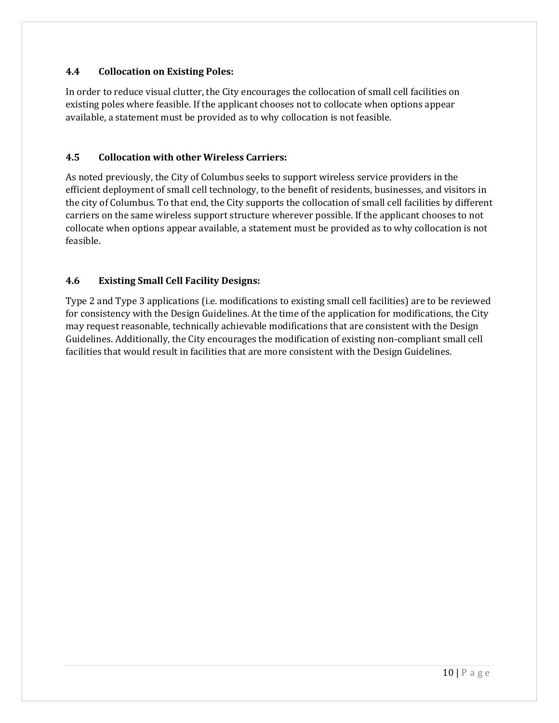#### **4.4 Collocation on Existing Poles:**

In order to reduce visual clutter, the City encourages the collocation of small cell facilities on existing poles where feasible. If the applicant chooses not to collocate when options appear available, a statement must be provided as to why collocation is not feasible.

#### **4.5 Collocation with other Wireless Carriers:**

As noted previously, the City of Columbus seeks to support wireless service providers in the efficient deployment of small cell technology, to the benefit of residents, businesses, and visitors in the city of Columbus. To that end, the City supports the collocation of small cell facilities by different carriers on the same wireless support structure wherever possible. If the applicant chooses to not collocate when options appear available, a statement must be provided as to why collocation is not feasible.

#### **4.6 Existing Small Cell Facility Designs:**

Type 2 and Type 3 applications (i.e. modifications to existing small cell facilities) are to be reviewed for consistency with the Design Guidelines. At the time of the application for modifications, the City may request reasonable, technically achievable modifications that are consistent with the Design Guidelines. Additionally, the City encourages the modification of existing non-compliant small cell facilities that would result in facilities that are more consistent with the Design Guidelines.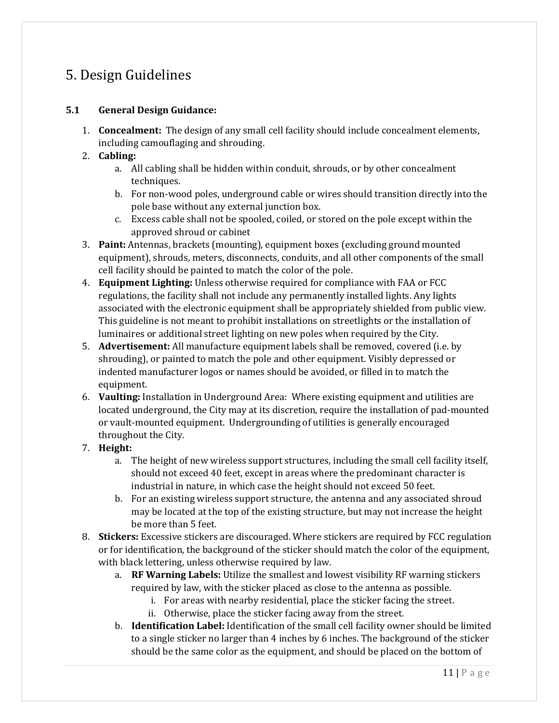# 5. Design Guidelines

#### **5.1 General Design Guidance:**

1. **Concealment:** The design of any small cell facility should include concealment elements, including camouflaging and shrouding.

#### 2. **Cabling:**

- a. All cabling shall be hidden within conduit, shrouds, or by other concealment techniques.
- b. For non-wood poles, underground cable or wires should transition directly into the pole base without any external junction box.
- c. Excess cable shall not be spooled, coiled, or stored on the pole except within the approved shroud or cabinet
- 3. **Paint:** Antennas, brackets (mounting), equipment boxes (excluding ground mounted equipment), shrouds, meters, disconnects, conduits, and all other components of the small cell facility should be painted to match the color of the pole.
- 4. **Equipment Lighting:** Unless otherwise required for compliance with FAA or FCC regulations, the facility shall not include any permanently installed lights. Any lights associated with the electronic equipment shall be appropriately shielded from public view. This guideline is not meant to prohibit installations on streetlights or the installation of luminaires or additional street lighting on new poles when required by the City.
- 5. **Advertisement:** All manufacture equipment labels shall be removed, covered (i.e. by shrouding), or painted to match the pole and other equipment. Visibly depressed or indented manufacturer logos or names should be avoided, or filled in to match the equipment.
- 6. **Vaulting:** Installation in Underground Area: Where existing equipment and utilities are located underground, the City may at its discretion, require the installation of pad-mounted or vault-mounted equipment. Undergrounding of utilities is generally encouraged throughout the City.
- 7. **Height:** 
	- a. The height of new wireless support structures, including the small cell facility itself, should not exceed 40 feet, except in areas where the predominant character is industrial in nature, in which case the height should not exceed 50 feet.
	- b. For an existing wireless support structure, the antenna and any associated shroud may be located at the top of the existing structure, but may not increase the height be more than 5 feet.
- 8. **Stickers:** Excessive stickers are discouraged. Where stickers are required by FCC regulation or for identification, the background of the sticker should match the color of the equipment, with black lettering, unless otherwise required by law.
	- a. **RF Warning Labels:** Utilize the smallest and lowest visibility RF warning stickers required by law, with the sticker placed as close to the antenna as possible.
		- i. For areas with nearby residential, place the sticker facing the street.
		- ii. Otherwise, place the sticker facing away from the street.
	- b. **Identification Label:** Identification of the small cell facility owner should be limited to a single sticker no larger than 4 inches by 6 inches. The background of the sticker should be the same color as the equipment, and should be placed on the bottom of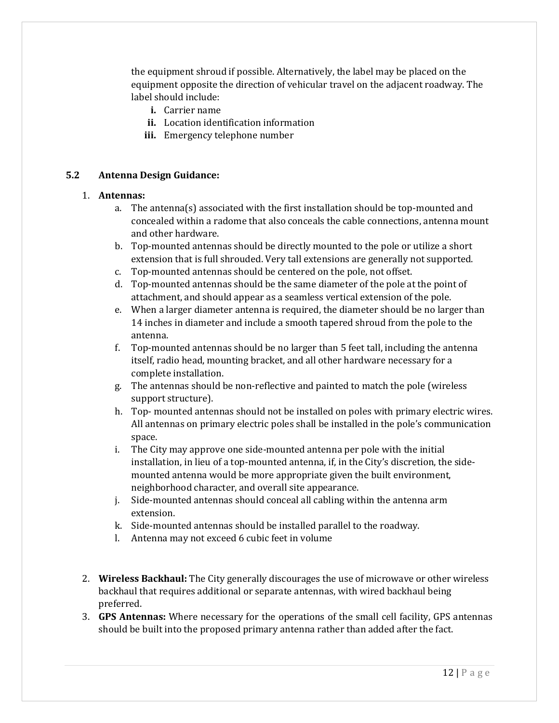the equipment shroud if possible. Alternatively, the label may be placed on the equipment opposite the direction of vehicular travel on the adjacent roadway. The label should include:

- **i.** Carrier name
- **ii.** Location identification information
- **iii.** Emergency telephone number

#### **5.2 Antenna Design Guidance:**

#### 1. **Antennas:**

- a. The antenna(s) associated with the first installation should be top-mounted and concealed within a radome that also conceals the cable connections, antenna mount and other hardware.
- b. Top-mounted antennas should be directly mounted to the pole or utilize a short extension that is full shrouded. Very tall extensions are generally not supported.
- c. Top-mounted antennas should be centered on the pole, not offset.
- d. Top-mounted antennas should be the same diameter of the pole at the point of attachment, and should appear as a seamless vertical extension of the pole.
- e. When a larger diameter antenna is required, the diameter should be no larger than 14 inches in diameter and include a smooth tapered shroud from the pole to the antenna.
- f. Top-mounted antennas should be no larger than 5 feet tall, including the antenna itself, radio head, mounting bracket, and all other hardware necessary for a complete installation.
- g. The antennas should be non-reflective and painted to match the pole (wireless support structure).
- h. Top- mounted antennas should not be installed on poles with primary electric wires. All antennas on primary electric poles shall be installed in the pole's communication space.
- i. The City may approve one side-mounted antenna per pole with the initial installation, in lieu of a top-mounted antenna, if, in the City's discretion, the sidemounted antenna would be more appropriate given the built environment, neighborhood character, and overall site appearance.
- j. Side-mounted antennas should conceal all cabling within the antenna arm extension.
- k. Side-mounted antennas should be installed parallel to the roadway.
- l. Antenna may not exceed 6 cubic feet in volume
- 2. **Wireless Backhaul:** The City generally discourages the use of microwave or other wireless backhaul that requires additional or separate antennas, with wired backhaul being preferred.
- 3. **GPS Antennas:** Where necessary for the operations of the small cell facility, GPS antennas should be built into the proposed primary antenna rather than added after the fact.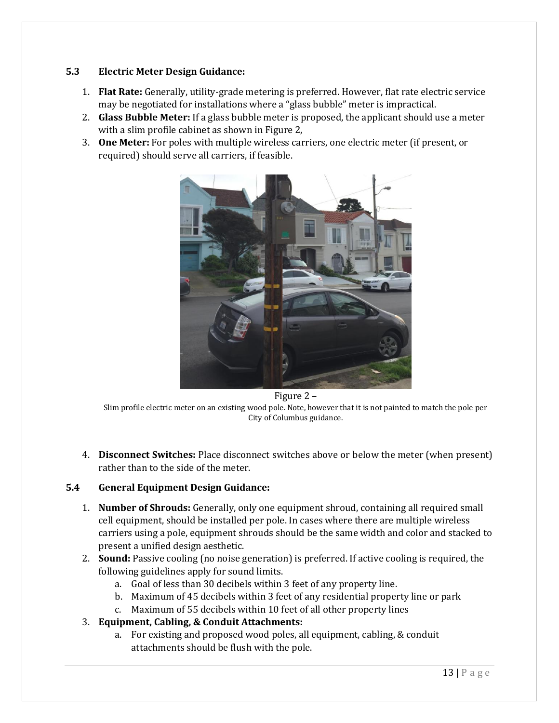#### **5.3 Electric Meter Design Guidance:**

- 1. **Flat Rate:** Generally, utility-grade metering is preferred. However, flat rate electric service may be negotiated for installations where a "glass bubble" meter is impractical.
- 2. **Glass Bubble Meter:** If a glass bubble meter is proposed, the applicant should use a meter with a slim profile cabinet as shown in Figure 2,
- 3. **One Meter:** For poles with multiple wireless carriers, one electric meter (if present, or required) should serve all carriers, if feasible.



Figure 2 –

Slim profile electric meter on an existing wood pole. Note, however that it is not painted to match the pole per City of Columbus guidance.

4. **Disconnect Switches:** Place disconnect switches above or below the meter (when present) rather than to the side of the meter.

#### **5.4 General Equipment Design Guidance:**

- 1. **Number of Shrouds:** Generally, only one equipment shroud, containing all required small cell equipment, should be installed per pole. In cases where there are multiple wireless carriers using a pole, equipment shrouds should be the same width and color and stacked to present a unified design aesthetic.
- 2. **Sound:** Passive cooling (no noise generation) is preferred. If active cooling is required, the following guidelines apply for sound limits.
	- a. Goal of less than 30 decibels within 3 feet of any property line.
	- b. Maximum of 45 decibels within 3 feet of any residential property line or park
	- c. Maximum of 55 decibels within 10 feet of all other property lines
- 3. **Equipment, Cabling, & Conduit Attachments:** 
	- a. For existing and proposed wood poles, all equipment, cabling, & conduit attachments should be flush with the pole.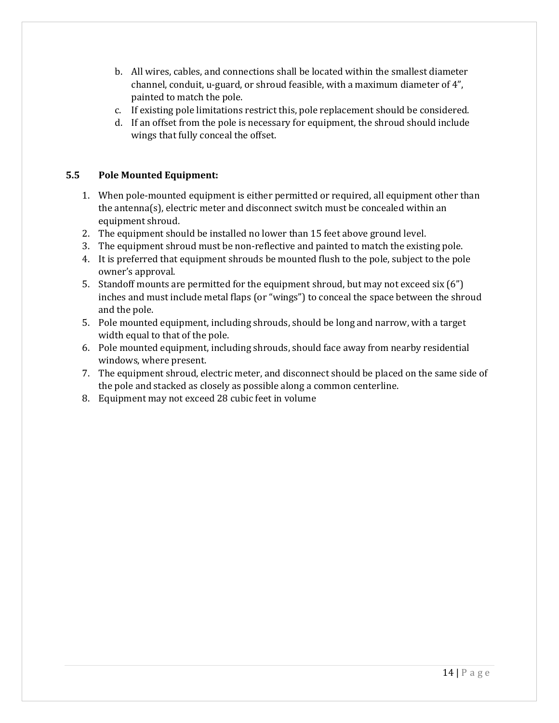- b. All wires, cables, and connections shall be located within the smallest diameter channel, conduit, u-guard, or shroud feasible, with a maximum diameter of 4", painted to match the pole.
- c. If existing pole limitations restrict this, pole replacement should be considered.
- d. If an offset from the pole is necessary for equipment, the shroud should include wings that fully conceal the offset.

#### **5.5 Pole Mounted Equipment:**

- 1. When pole-mounted equipment is either permitted or required, all equipment other than the antenna(s), electric meter and disconnect switch must be concealed within an equipment shroud.
- 2. The equipment should be installed no lower than 15 feet above ground level.
- 3. The equipment shroud must be non-reflective and painted to match the existing pole.
- 4. It is preferred that equipment shrouds be mounted flush to the pole, subject to the pole owner's approval.
- 5. Standoff mounts are permitted for the equipment shroud, but may not exceed six (6") inches and must include metal flaps (or "wings") to conceal the space between the shroud and the pole.
- 5. Pole mounted equipment, including shrouds, should be long and narrow, with a target width equal to that of the pole.
- 6. Pole mounted equipment, including shrouds, should face away from nearby residential windows, where present.
- 7. The equipment shroud, electric meter, and disconnect should be placed on the same side of the pole and stacked as closely as possible along a common centerline.
- 8. Equipment may not exceed 28 cubic feet in volume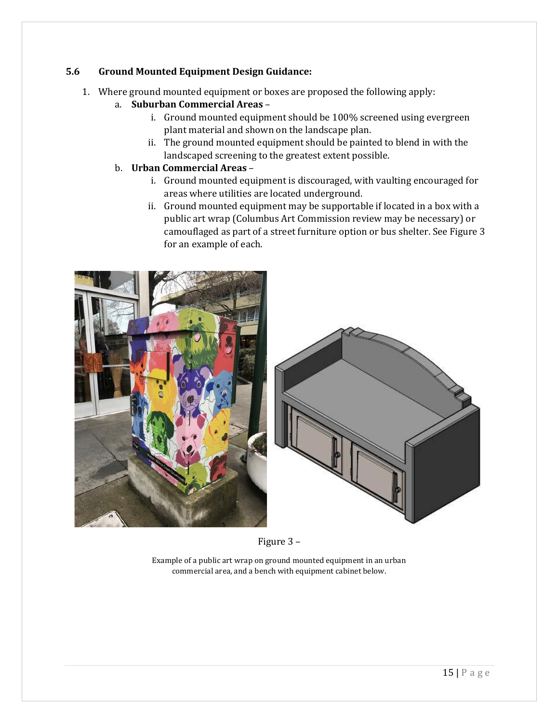#### **5.6 Ground Mounted Equipment Design Guidance:**

- 1. Where ground mounted equipment or boxes are proposed the following apply:
	- a. **Suburban Commercial Areas**
		- i. Ground mounted equipment should be 100% screened using evergreen plant material and shown on the landscape plan.
		- ii. The ground mounted equipment should be painted to blend in with the landscaped screening to the greatest extent possible.
	- b. **Urban Commercial Areas**
		- i. Ground mounted equipment is discouraged, with vaulting encouraged for areas where utilities are located underground.
		- ii. Ground mounted equipment may be supportable if located in a box with a public art wrap (Columbus Art Commission review may be necessary) or camouflaged as part of a street furniture option or bus shelter. See Figure 3 for an example of each.





Figure 3 –

Example of a public art wrap on ground mounted equipment in an urban commercial area, and a bench with equipment cabinet below.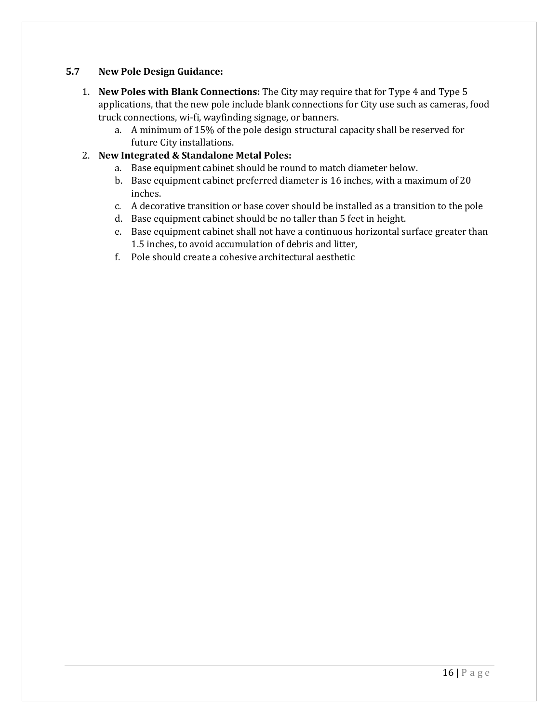#### **5.7 New Pole Design Guidance:**

- 1. **New Poles with Blank Connections:** The City may require that for Type 4 and Type 5 applications, that the new pole include blank connections for City use such as cameras, food truck connections, wi-fi, wayfinding signage, or banners.
	- a. A minimum of 15% of the pole design structural capacity shall be reserved for future City installations.

#### 2. **New Integrated & Standalone Metal Poles:**

- a. Base equipment cabinet should be round to match diameter below.
- b. Base equipment cabinet preferred diameter is 16 inches, with a maximum of 20 inches.
- c. A decorative transition or base cover should be installed as a transition to the pole
- d. Base equipment cabinet should be no taller than 5 feet in height.
- e. Base equipment cabinet shall not have a continuous horizontal surface greater than 1.5 inches, to avoid accumulation of debris and litter,
- f. Pole should create a cohesive architectural aesthetic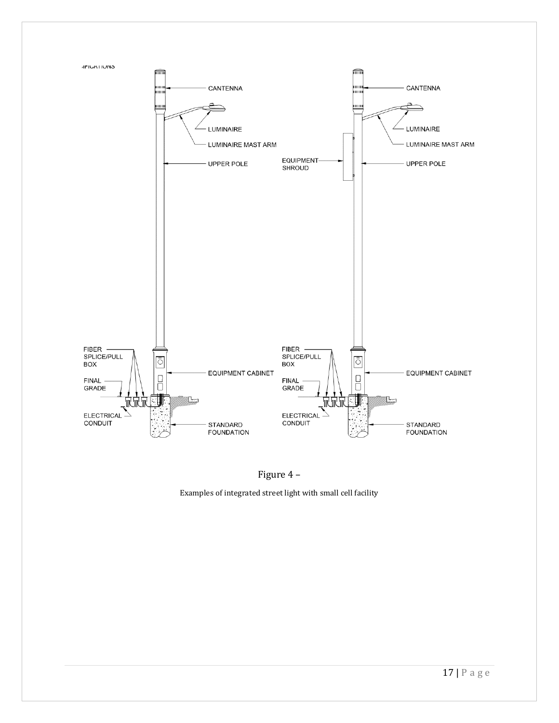



Examples of integrated street light with small cell facility